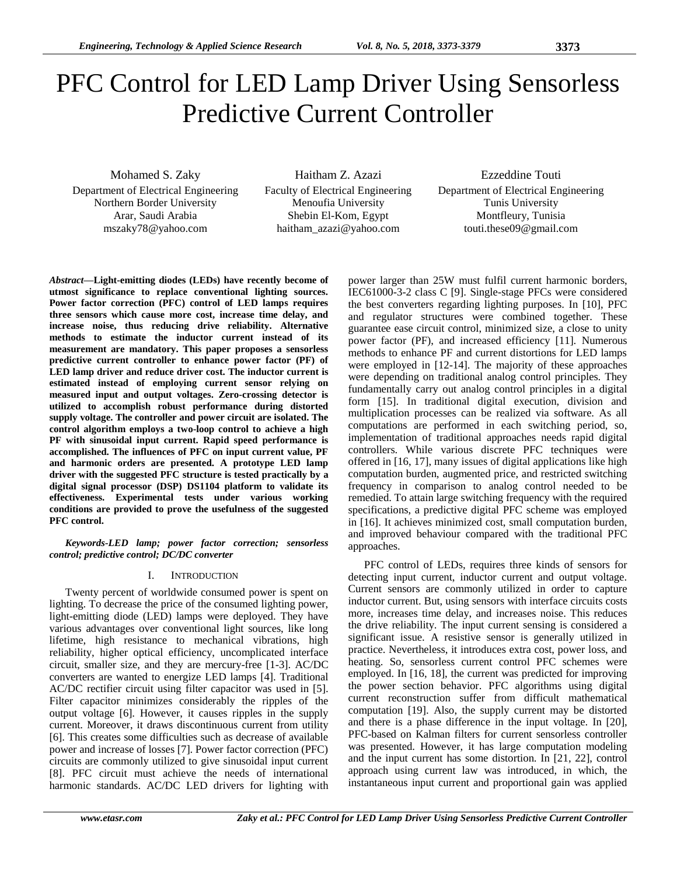# PFC Control for LED Lamp Driver Using Sensorless Predictive Current Controller

Mohamed S. Zaky Department of Electrical Engineering Northern Border University Arar, Saudi Arabia mszaky78@yahoo.com

Haitham Z. Azazi Faculty of Electrical Engineering Menoufia University Shebin El-Kom, Egypt haitham\_azazi@yahoo.com

Ezzeddine Touti Department of Electrical Engineering Tunis University Montfleury, Tunisia touti.these09@gmail.com

*Abstract***—Light-emitting diodes (LEDs) have recently become of utmost significance to replace conventional lighting sources. Power factor correction (PFC) control of LED lamps requires three sensors which cause more cost, increase time delay, and increase noise, thus reducing drive reliability. Alternative methods to estimate the inductor current instead of its measurement are mandatory. This paper proposes a sensorless predictive current controller to enhance power factor (PF) of LED lamp driver and reduce driver cost. The inductor current is estimated instead of employing current sensor relying on measured input and output voltages. Zero-crossing detector is utilized to accomplish robust performance during distorted supply voltage. The controller and power circuit are isolated. The control algorithm employs a two-loop control to achieve a high PF with sinusoidal input current. Rapid speed performance is accomplished. The influences of PFC on input current value, PF and harmonic orders are presented. A prototype LED lamp driver with the suggested PFC structure is tested practically by a digital signal processor (DSP) DS1104 platform to validate its effectiveness. Experimental tests under various working conditions are provided to prove the usefulness of the suggested PFC control.**

*Keywords-LED lamp; power factor correction; sensorless control; predictive control; DC/DC converter*

### I. INTRODUCTION

Twenty percent of worldwide consumed power is spent on lighting. To decrease the price of the consumed lighting power, light-emitting diode (LED) lamps were deployed. They have various advantages over conventional light sources, like long lifetime, high resistance to mechanical vibrations, high reliability, higher optical efficiency, uncomplicated interface circuit, smaller size, and they are mercury-free [1-3]. AC/DC converters are wanted to energize LED lamps [4]. Traditional AC/DC rectifier circuit using filter capacitor was used in [5]. Filter capacitor minimizes considerably the ripples of the output voltage [6]. However, it causes ripples in the supply current. Moreover, it draws discontinuous current from utility [6]. This creates some difficulties such as decrease of available power and increase of losses [7]. Power factor correction (PFC) circuits are commonly utilized to give sinusoidal input current [8]. PFC circuit must achieve the needs of international harmonic standards. AC/DC LED drivers for lighting with

power larger than 25W must fulfil current harmonic borders, IEC61000-3-2 class C [9]. Single-stage PFCs were considered the best converters regarding lighting purposes. In [10], PFC and regulator structures were combined together. These guarantee ease circuit control, minimized size, a close to unity power factor (PF), and increased efficiency [11]. Numerous methods to enhance PF and current distortions for LED lamps were employed in [12-14]. The majority of these approaches were depending on traditional analog control principles. They fundamentally carry out analog control principles in a digital form [15]. In traditional digital execution, division and multiplication processes can be realized via software. As all computations are performed in each switching period, so, implementation of traditional approaches needs rapid digital controllers. While various discrete PFC techniques were offered in [16, 17], many issues of digital applications like high computation burden, augmented price, and restricted switching frequency in comparison to analog control needed to be remedied. To attain large switching frequency with the required specifications, a predictive digital PFC scheme was employed in [16]. It achieves minimized cost, small computation burden, and improved behaviour compared with the traditional PFC approaches.

PFC control of LEDs, requires three kinds of sensors for detecting input current, inductor current and output voltage. Current sensors are commonly utilized in order to capture inductor current. But, using sensors with interface circuits costs more, increases time delay, and increases noise. This reduces the drive reliability. The input current sensing is considered a significant issue. A resistive sensor is generally utilized in practice. Nevertheless, it introduces extra cost, power loss, and heating. So, sensorless current control PFC schemes were employed. In [16, 18], the current was predicted for improving the power section behavior. PFC algorithms using digital current reconstruction suffer from difficult mathematical computation [19]. Also, the supply current may be distorted and there is a phase difference in the input voltage. In [20], PFC-based on Kalman filters for current sensorless controller was presented. However, it has large computation modeling and the input current has some distortion. In [21, 22], control approach using current law was introduced, in which, the instantaneous input current and proportional gain was applied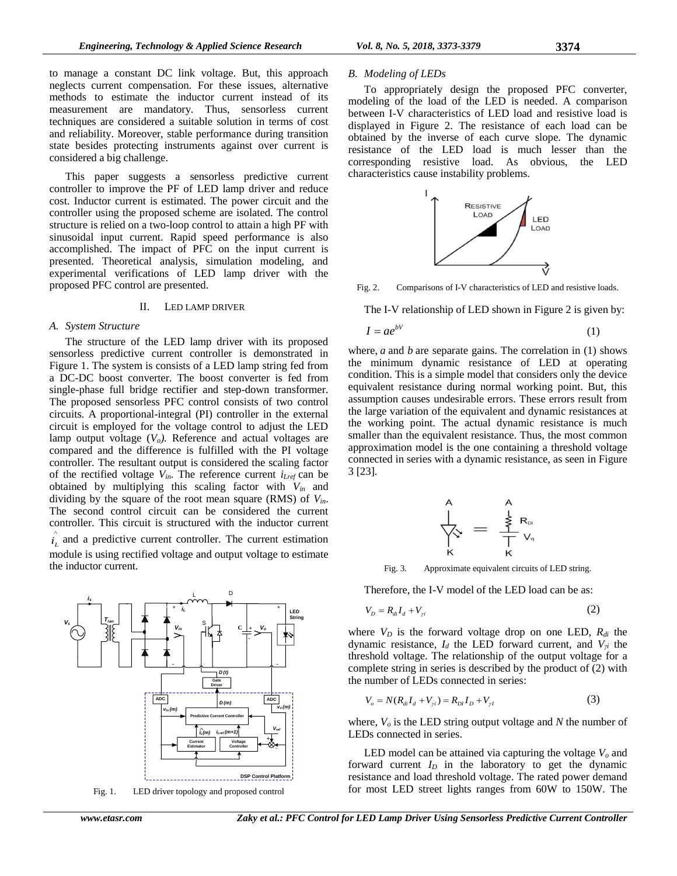to manage a constant DC link voltage. But, this approach neglects current compensation. For these issues, alternative methods to estimate the inductor current instead of its measurement are mandatory. Thus, sensorless current techniques are considered a suitable solution in terms of cost and reliability. Moreover, stable performance during transition state besides protecting instruments against over current is considered a big challenge.

This paper suggests a sensorless predictive current controller to improve the PF of LED lamp driver and reduce cost. Inductor current is estimated. The power circuit and the controller using the proposed scheme are isolated. The control structure is relied on a two-loop control to attain a high PF with sinusoidal input current. Rapid speed performance is also accomplished. The impact of PFC on the input current is presented. Theoretical analysis, simulation modeling, and experimental verifications of LED lamp driver with the proposed PFC control are presented.

#### II. LED LAMP DRIVER

#### *A. System Structure*

The structure of the LED lamp driver with its proposed sensorless predictive current controller is demonstrated in Figure 1. The system is consists of a LED lamp string fed from a DC-DC boost converter. The boost converter is fed from single-phase full bridge rectifier and step-down transformer. The proposed sensorless PFC control consists of two control circuits. A proportional-integral (PI) controller in the external circuit is employed for the voltage control to adjust the LED lamp output voltage (*Vo).* Reference and actual voltages are compared and the difference is fulfilled with the PI voltage controller. The resultant output is considered the scaling factor of the rectified voltage  $V_{in}$ . The reference current  $i_{Lref}$  can be obtained by multiplying this scaling factor with *Vin* and dividing by the square of the root mean square (RMS) of *Vin*. The second control circuit can be considered the current controller. This circuit is structured with the inductor current ^  $i_L$  and a predictive current controller. The current estimation module is using rectified voltage and output voltage to estimate the inductor current.



Fig. 1. LED driver topology and proposed control

#### *B. Modeling of LEDs*

To appropriately design the proposed PFC converter, modeling of the load of the LED is needed. A comparison between I-V characteristics of LED load and resistive load is displayed in Figure 2. The resistance of each load can be obtained by the inverse of each curve slope. The dynamic resistance of the LED load is much lesser than the corresponding resistive load. As obvious, the LED characteristics cause instability problems.



Fig. 2. Comparisons of I-V characteristics of LED and resistive loads.

The I-V relationship of LED shown in Figure 2 is given by:

$$
I = ae^{bV} \tag{1}
$$

where, *a* and *b* are separate gains. The correlation in (1) shows the minimum dynamic resistance of LED at operating condition. This is a simple model that considers only the device equivalent resistance during normal working point. But, this assumption causes undesirable errors. These errors result from the large variation of the equivalent and dynamic resistances at the working point. The actual dynamic resistance is much smaller than the equivalent resistance. Thus, the most common approximation model is the one containing a threshold voltage connected in series with a dynamic resistance, as seen in Figure 3 [23].



Fig. 3. Approximate equivalent circuits of LED string.

Therefore, the I-V model of the LED load can be as:

$$
V_D = R_{di} I_d + V_{\gamma i} \tag{2}
$$

where *V<sup>D</sup>* is the forward voltage drop on one LED, *Rdi* the dynamic resistance, *I<sup>d</sup>* the LED forward current, and *Vγi* the threshold voltage. The relationship of the output voltage for a complete string in series is described by the product of (2) with the number of LEDs connected in series:

$$
V_o = N(R_{di}I_d + V_{yi}) = R_{DI}I_D + V_{yI}
$$
\n(3)

where, *V<sup>o</sup>* is the LED string output voltage and *N* the number of LEDs connected in series.

LED model can be attained via capturing the voltage *V<sup>o</sup>* and forward current *I<sup>D</sup>* in the laboratory to get the dynamic resistance and load threshold voltage. The rated power demand for most LED street lights ranges from 60W to 150W. The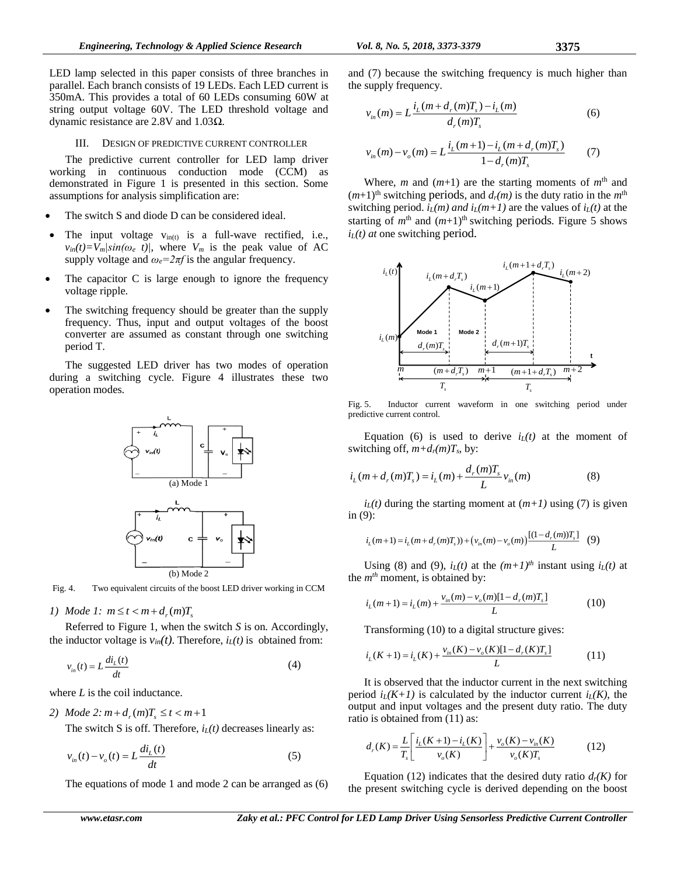LED lamp selected in this paper consists of three branches in parallel. Each branch consists of 19 LEDs. Each LED current is 350mA. This provides a total of 60 LEDs consuming 60W at string output voltage 60V. The LED threshold voltage and dynamic resistance are 2.8V and 1.03Ω.

#### III. DESIGN OF PREDICTIVE CURRENT CONTROLLER

The predictive current controller for LED lamp driver working in continuous conduction mode (CCM) as demonstrated in Figure 1 is presented in this section. Some assumptions for analysis simplification are:

- The switch S and diode D can be considered ideal.
- The input voltage  $v_{\text{in}(t)}$  is a full-wave rectified, i.e.,  $v_{in}(t) = V_m \sin(\omega_e t)$ , where  $V_m$  is the peak value of AC supply voltage and  $\omega_e = 2\pi f$  is the angular frequency.
- The capacitor C is large enough to ignore the frequency voltage ripple.
- The switching frequency should be greater than the supply frequency. Thus, input and output voltages of the boost converter are assumed as constant through one switching period T.

The suggested LED driver has two modes of operation during a switching cycle. Figure 4 illustrates these two operation modes.



Fig. 4. Two equivalent circuits of the boost LED driver working in CCM

## *1*) *Mode 1:*  $m \le t < m + d_r(m)T_s$

Referred to Figure 1, when the switch *S* is on. Accordingly, the inductor voltage is  $v_{in}(t)$ . Therefore,  $i_L(t)$  is obtained from:

$$
v_{in}(t) = L \frac{di_L(t)}{dt}
$$
 (4)

where *L* is the coil inductance.

2) Mode 2: 
$$
m + d_r(m)T_s \le t < m+1
$$

The switch S is off. Therefore, *iL(t)* decreases linearly as:

$$
v_{in}(t) - v_o(t) = L \frac{di_L(t)}{dt}
$$
\n<sup>(5)</sup>

The equations of mode 1 and mode 2 can be arranged as (6)

and (7) because the switching frequency is much higher than the supply frequency.

$$
v_{in}(m) = L \frac{i_L(m + d_r(m)T_s) - i_L(m)}{d_r(m)T_s}
$$
(6)

$$
v_{in}(m) - v_o(m) = L \frac{i_L(m+1) - i_L(m+d_r(m)T_s)}{1 - d_r(m)T_s}
$$
(7)

Where, *m* and  $(m+1)$  are the starting moments of  $m<sup>th</sup>$  and  $(m+1)$ <sup>th</sup> switching periods, and  $d_r(m)$  is the duty ratio in the  $m<sup>th</sup>$ switching period.  $i_L(m)$  and  $i_L(m+1)$  are the values of  $i_L(t)$  at the starting of  $m<sup>th</sup>$  and  $(m+1)<sup>th</sup>$  switching periods. Figure 5 shows  $i_l(t)$  *at* one switching period.



Fig. 5. Inductor current waveform in one switching period under predictive current control.

Equation (6) is used to derive  $i_l(t)$  at the moment of switching off,  $m+d_r(m)T_s$ , by:

$$
i_L(m + d_r(m)T_s) = i_L(m) + \frac{d_r(m)T_s}{L}v_m(m)
$$
 (8)

 $i_L(t)$  during the starting moment at  $(m+1)$  using (7) is given in (9):

$$
i_L(m+1) = i_L(m+d_r(m)T_s) + (v_m(m) - v_o(m)) \frac{[(1-d_r(m))T_s]}{L}
$$
 (9)

Using (8) and (9),  $i_L(t)$  at the  $(m+1)^{th}$  instant using  $i_L(t)$  at the *mth* moment, is obtained by:

$$
i_L(m+1) = i_L(m) + \frac{v_m(m) - v_o(m)[1 - d_r(m)T_s]}{L}
$$
 (10)

Transforming (10) to a digital structure gives:

$$
i_L(K+1) = i_L(K) + \frac{v_{in}(K) - v_o(K)[1 - d_r(K)T_s]}{L}
$$
 (11)

It is observed that the inductor current in the next switching period  $i_L(K+1)$  is calculated by the inductor current  $i_L(K)$ , the output and input voltages and the present duty ratio. The duty ratio is obtained from (11) as:

$$
d_r(K) = \frac{L}{T_s} \left[ \frac{i_L(K+1) - i_L(K)}{v_o(K)} \right] + \frac{v_o(K) - v_m(K)}{v_o(K)T_s}
$$
(12)

Equation (12) indicates that the desired duty ratio  $d_r(K)$  for the present switching cycle is derived depending on the boost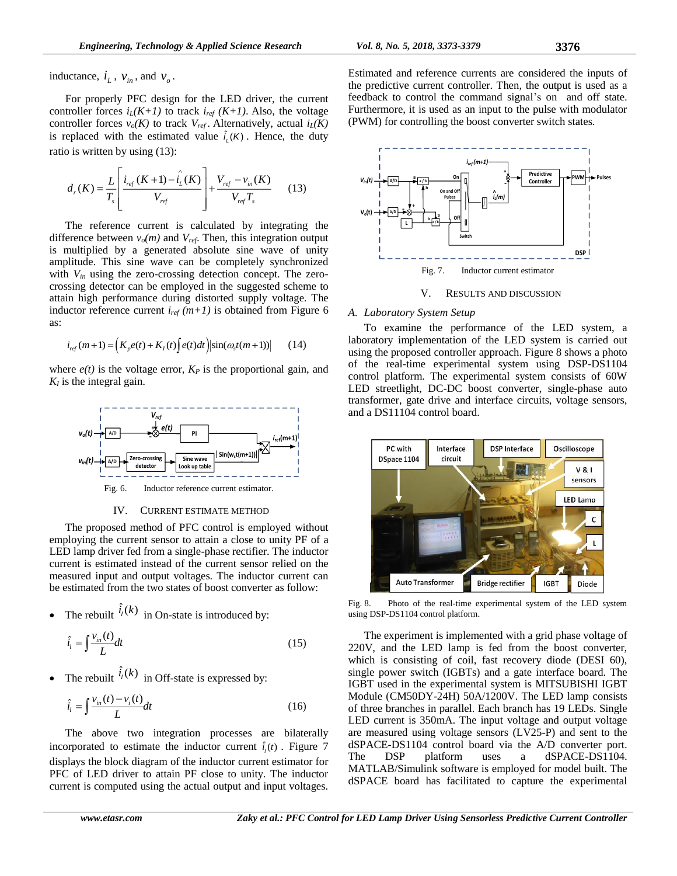inductance,  $i_L$ ,  $v_{in}$ , and  $v_o$ .

For properly PFC design for the LED driver, the current controller forces  $i_L(K+1)$  to track  $i_{ref}(K+1)$ . Also, the voltage controller forces  $v_o(K)$  to track  $V_{ref}$ . Alternatively, actual  $i_L(K)$ is replaced with the estimated value  $\hat{i}_{i}(K)$ . Hence, the duty ratio is written by using (13):

$$
d_r(K) = \frac{L}{T_s} \left[ \frac{i_{ref}(K+1) - \hat{i}_L(K)}{V_{ref}} \right] + \frac{V_{ref} - v_{in}(K)}{V_{ref}T_s}
$$
(13)

The reference current is calculated by integrating the difference between  $v_o(m)$  and  $V_{ref}$ . Then, this integration output is multiplied by a generated absolute sine wave of unity amplitude. This sine wave can be completely synchronized with  $V_{in}$  using the zero-crossing detection concept. The zerocrossing detector can be employed in the suggested scheme to attain high performance during distorted supply voltage. The inductor reference current  $i_{ref}(m+1)$  is obtained from Figure 6 as:

$$
i_{ref}(m+1) = \left(K_p e(t) + K_I(t)\int e(t)dt\right) \left|\sin(\omega_s t(m+1))\right| \tag{14}
$$

where  $e(t)$  is the voltage error,  $K_P$  is the proportional gain, and  $K_I$  is the integral gain.



#### IV. CURRENT ESTIMATE METHOD

The proposed method of PFC control is employed without employing the current sensor to attain a close to unity PF of a LED lamp driver fed from a single-phase rectifier. The inductor current is estimated instead of the current sensor relied on the measured input and output voltages. The inductor current can be estimated from the two states of boost converter as follow:

• The rebuilt  $\hat{i}_i(k)$  in On-state is introduced by:

$$
\hat{i}_l = \int \frac{v_{in}(t)}{L} dt
$$
\n(15)

• The rebuilt  $\hat{i}_i(k)$  in Off-state is expressed by:

$$
\hat{i}_i = \int \frac{v_{in}(t) - v_i(t)}{L} dt
$$
\n(16)

The above two integration processes are bilaterally incorporated to estimate the inductor current  $\hat{i}_i(t)$ . Figure 7 displays the block diagram of the inductor current estimator for PFC of LED driver to attain PF close to unity. The inductor current is computed using the actual output and input voltages.



V. RESULTS AND DISCUSSION

#### *A. Laboratory System Setup*

To examine the performance of the LED system, a laboratory implementation of the LED system is carried out using the proposed controller approach. Figure 8 shows a photo of the real-time experimental system using DSP-DS1104 control platform. The experimental system consists of 60W LED streetlight, DC-DC boost converter, single-phase auto transformer, gate drive and interface circuits, voltage sensors, and a DS11104 control board.



Fig. 8. Photo of the real-time experimental system of the LED system using DSP-DS1104 control platform.

The experiment is implemented with a grid phase voltage of 220V, and the LED lamp is fed from the boost converter, which is consisting of coil, fast recovery diode (DESI 60). single power switch (IGBTs) and a gate interface board. The IGBT used in the experimental system is MITSUBISHI IGBT Module (CM50DY-24H) 50A/1200V. The LED lamp consists of three branches in parallel. Each branch has 19 LEDs. Single LED current is 350mA. The input voltage and output voltage are measured using voltage sensors (LV25-P) and sent to the dSPACE-DS1104 control board via the A/D converter port. The DSP platform uses a dSPACE-DS1104. MATLAB/Simulink software is employed for model built. The dSPACE board has facilitated to capture the experimental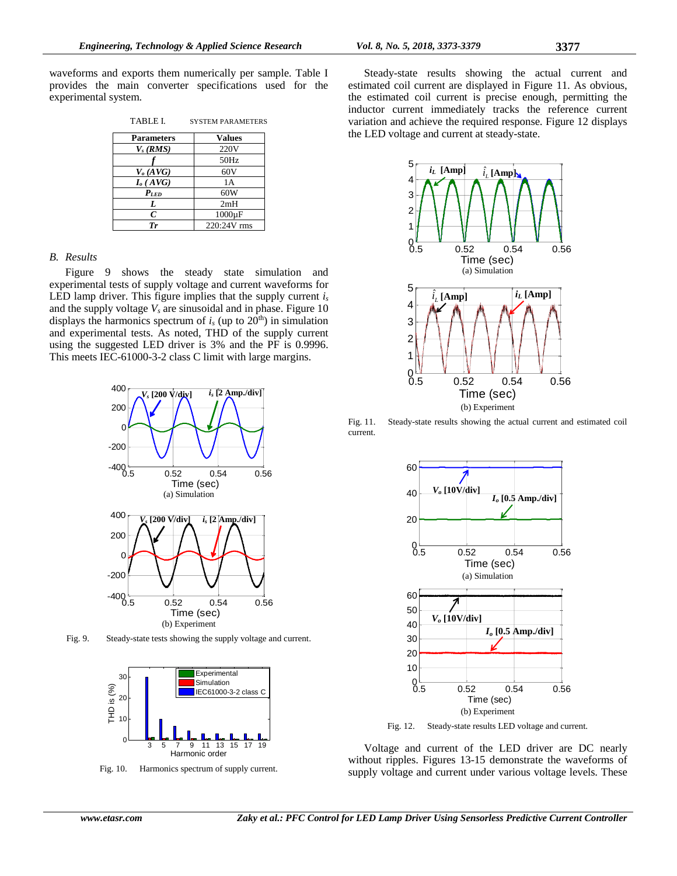waveforms and exports them numerically per sample. Table I provides the main converter specifications used for the experimental system.

| TABLE I.          | <b>SYSTEM PARAMETERS</b> |
|-------------------|--------------------------|
| <b>Parameters</b> | <b>Values</b>            |
| $V_s$ (RMS)       | 220V                     |
|                   | 50Hz                     |
| $V_o$ (AVG)       | 60V                      |
| $I_o(AVG)$        | 1 A                      |
| $P_{LED}$         | 60W                      |
| L                 | 2mH                      |
| $\mathcal C$      | $1000\mu F$              |
| Tr                | 220:24V rms              |

#### *B. Results*

Figure 9 shows the steady state simulation and experimental tests of supply voltage and current waveforms for LED lamp driver. This figure implies that the supply current *i<sup>s</sup>* and the supply voltage  $V_s$  are sinusoidal and in phase. Figure 10 displays the harmonics spectrum of  $i<sub>s</sub>$  (up to 20<sup>th</sup>) in simulation and experimental tests. As noted, THD of the supply current using the suggested LED driver is 3% and the PF is 0.9996. This meets IEC-61000-3-2 class C limit with large margins.



Fig. 9. Steady-state tests showing the supply voltage and current.



Fig. 10. Harmonics spectrum of supply current.

Steady-state results showing the actual current and estimated coil current are displayed in Figure 11. As obvious, the estimated coil current is precise enough, permitting the inductor current immediately tracks the reference current variation and achieve the required response. Figure 12 displays the LED voltage and current at steady-state.



Fig. 11. Steady-state results showing the actual current and estimated coil current.



Fig. 12. Steady-state results LED voltage and current.

Voltage and current of the LED driver are DC nearly without ripples. Figures 13-15 demonstrate the waveforms of supply voltage and current under various voltage levels. These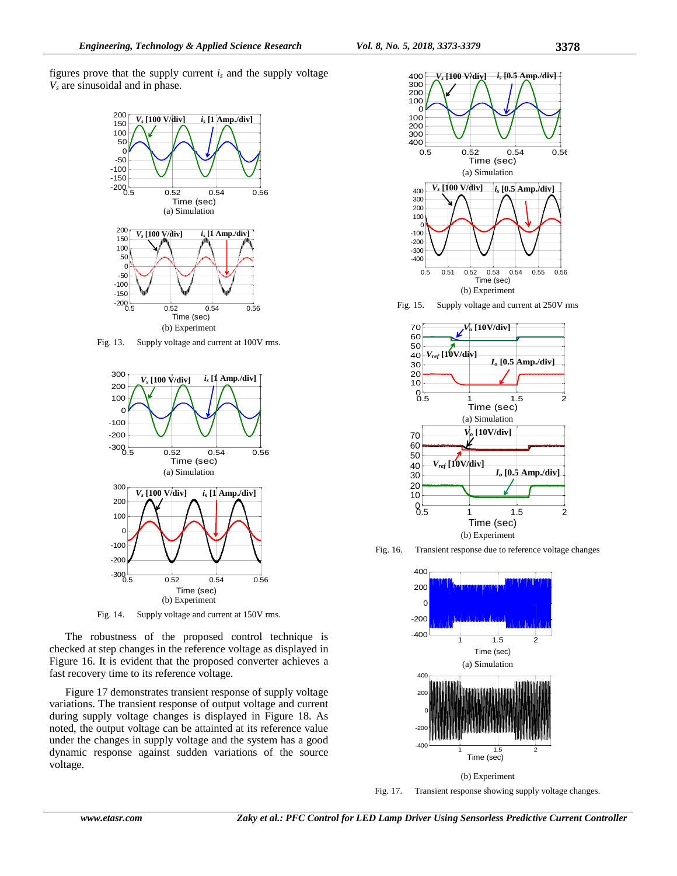figures prove that the supply current  $i<sub>s</sub>$  and the supply voltage *V<sup>s</sup>* are sinusoidal and in phase.



Fig. 13. Supply voltage and current at 100V rms.



Fig. 14. Supply voltage and current at 150V rms.

The robustness of the proposed control technique is checked at step changes in the reference voltage as displayed in Figure 16. It is evident that the proposed converter achieves a fast recovery time to its reference voltage.

Figure 17 demonstrates transient response of supply voltage variations. The transient response of output voltage and current during supply voltage changes is displayed in Figure 18. As noted, the output voltage can be attainted at its reference value under the changes in supply voltage and the system has a good dynamic response against sudden variations of the source voltage.



Fig. 15. Supply voltage and current at 250V rms



Fig. 16. Transient response due to reference voltage changes



Fig. 17. Transient response showing supply voltage changes.